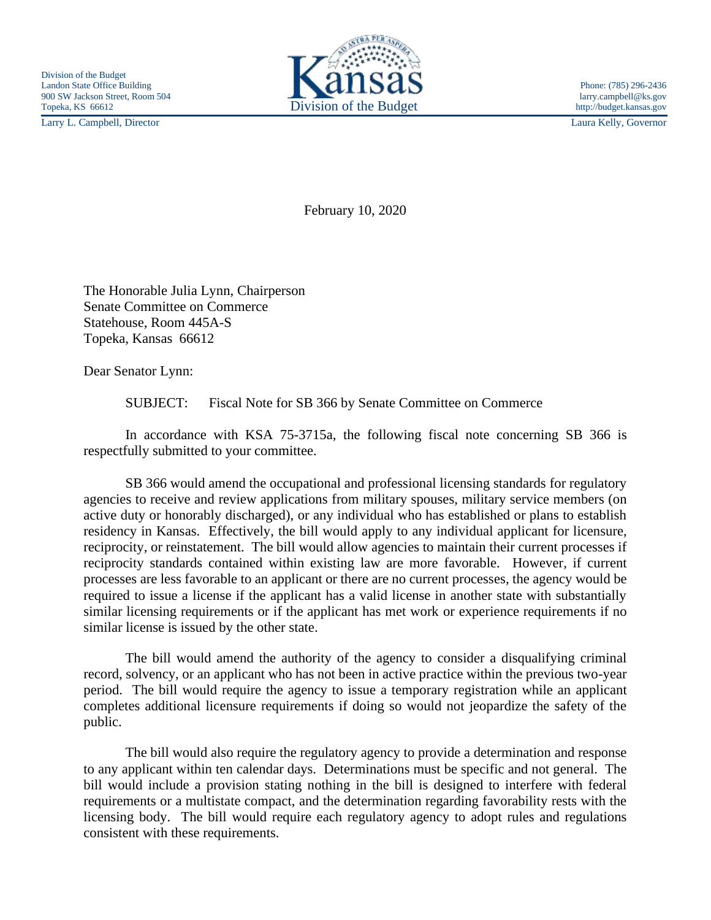Larry L. Campbell, Director Laura Kelly, Governor



February 10, 2020

The Honorable Julia Lynn, Chairperson Senate Committee on Commerce Statehouse, Room 445A-S Topeka, Kansas 66612

Dear Senator Lynn:

SUBJECT: Fiscal Note for SB 366 by Senate Committee on Commerce

In accordance with KSA 75-3715a, the following fiscal note concerning SB 366 is respectfully submitted to your committee.

SB 366 would amend the occupational and professional licensing standards for regulatory agencies to receive and review applications from military spouses, military service members (on active duty or honorably discharged), or any individual who has established or plans to establish residency in Kansas. Effectively, the bill would apply to any individual applicant for licensure, reciprocity, or reinstatement. The bill would allow agencies to maintain their current processes if reciprocity standards contained within existing law are more favorable. However, if current processes are less favorable to an applicant or there are no current processes, the agency would be required to issue a license if the applicant has a valid license in another state with substantially similar licensing requirements or if the applicant has met work or experience requirements if no similar license is issued by the other state.

The bill would amend the authority of the agency to consider a disqualifying criminal record, solvency, or an applicant who has not been in active practice within the previous two-year period. The bill would require the agency to issue a temporary registration while an applicant completes additional licensure requirements if doing so would not jeopardize the safety of the public.

The bill would also require the regulatory agency to provide a determination and response to any applicant within ten calendar days. Determinations must be specific and not general. The bill would include a provision stating nothing in the bill is designed to interfere with federal requirements or a multistate compact, and the determination regarding favorability rests with the licensing body. The bill would require each regulatory agency to adopt rules and regulations consistent with these requirements.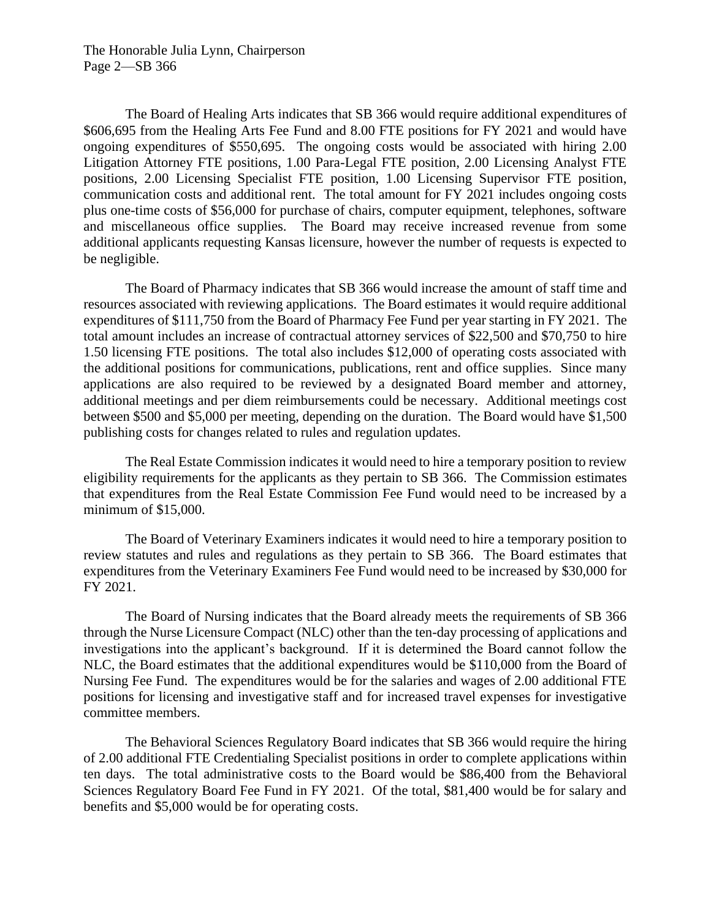The Honorable Julia Lynn, Chairperson Page 2—SB 366

The Board of Healing Arts indicates that SB 366 would require additional expenditures of \$606,695 from the Healing Arts Fee Fund and 8.00 FTE positions for FY 2021 and would have ongoing expenditures of \$550,695. The ongoing costs would be associated with hiring 2.00 Litigation Attorney FTE positions, 1.00 Para-Legal FTE position, 2.00 Licensing Analyst FTE positions, 2.00 Licensing Specialist FTE position, 1.00 Licensing Supervisor FTE position, communication costs and additional rent. The total amount for FY 2021 includes ongoing costs plus one-time costs of \$56,000 for purchase of chairs, computer equipment, telephones, software and miscellaneous office supplies. The Board may receive increased revenue from some additional applicants requesting Kansas licensure, however the number of requests is expected to be negligible.

The Board of Pharmacy indicates that SB 366 would increase the amount of staff time and resources associated with reviewing applications. The Board estimates it would require additional expenditures of \$111,750 from the Board of Pharmacy Fee Fund per year starting in FY 2021. The total amount includes an increase of contractual attorney services of \$22,500 and \$70,750 to hire 1.50 licensing FTE positions. The total also includes \$12,000 of operating costs associated with the additional positions for communications, publications, rent and office supplies. Since many applications are also required to be reviewed by a designated Board member and attorney, additional meetings and per diem reimbursements could be necessary. Additional meetings cost between \$500 and \$5,000 per meeting, depending on the duration. The Board would have \$1,500 publishing costs for changes related to rules and regulation updates.

The Real Estate Commission indicates it would need to hire a temporary position to review eligibility requirements for the applicants as they pertain to SB 366. The Commission estimates that expenditures from the Real Estate Commission Fee Fund would need to be increased by a minimum of \$15,000.

The Board of Veterinary Examiners indicates it would need to hire a temporary position to review statutes and rules and regulations as they pertain to SB 366. The Board estimates that expenditures from the Veterinary Examiners Fee Fund would need to be increased by \$30,000 for FY 2021.

The Board of Nursing indicates that the Board already meets the requirements of SB 366 through the Nurse Licensure Compact (NLC) other than the ten-day processing of applications and investigations into the applicant's background. If it is determined the Board cannot follow the NLC, the Board estimates that the additional expenditures would be \$110,000 from the Board of Nursing Fee Fund. The expenditures would be for the salaries and wages of 2.00 additional FTE positions for licensing and investigative staff and for increased travel expenses for investigative committee members.

The Behavioral Sciences Regulatory Board indicates that SB 366 would require the hiring of 2.00 additional FTE Credentialing Specialist positions in order to complete applications within ten days. The total administrative costs to the Board would be \$86,400 from the Behavioral Sciences Regulatory Board Fee Fund in FY 2021. Of the total, \$81,400 would be for salary and benefits and \$5,000 would be for operating costs.